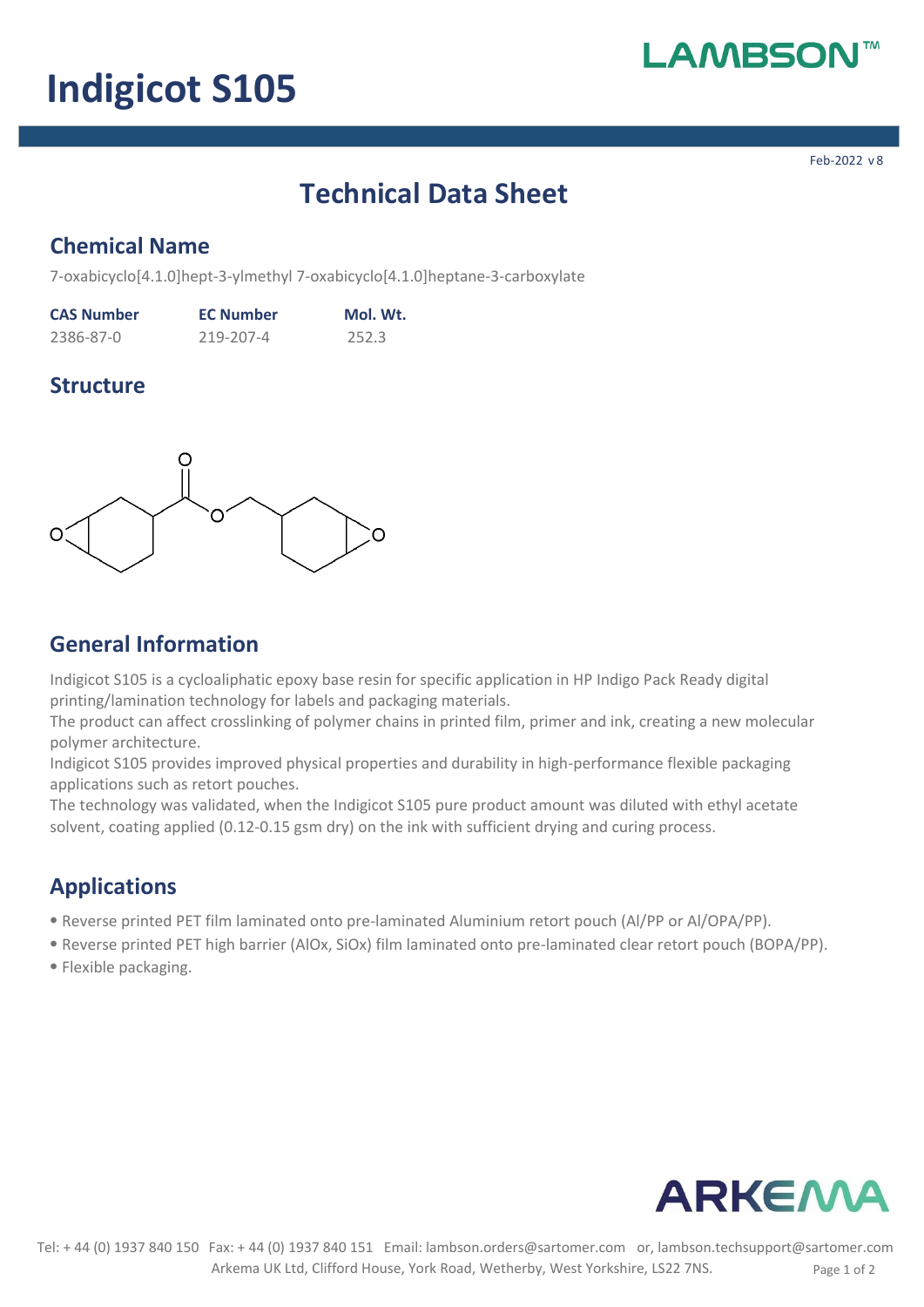# **MBS**

# **Indigicot S105**

**Feb-2022 v.8**

# **Technical Data Sheet**

## **Chemical Name**

**7-oxabicyclo[4.1.0]hept-3-ylmethyl 7-oxabicyclo[4.1.0]heptane-3-carboxylate**

| <b>CAS Number</b> | <b>EC Number</b> | Mol. Wt. |
|-------------------|------------------|----------|
| 2386-87-0         | 219-207-4        | 252.3    |

### **Structure**



## **General Information**

**Indigicot S105 is a cycloaliphatic epoxy base resin for specific application in HP Indigo Pack Ready digital printing/lamination technology for labels and packaging materials.** 

**The product can affect crosslinking of polymer chains in printed film, primer and ink, creating a new molecular polymer architecture.**

**Indigicot S105 provides improved physical properties and durability in high-performance flexible packaging applications such as retort pouches.**

**The technology was validated, when the Indigicot S105 pure product amount was diluted with ethyl acetate solvent, coating applied (0.12-0.15 gsm dry) on the ink with sufficient drying and curing process.**

# **Applications**

- ⦁ **Reverse printed PET film laminated onto pre-laminated Aluminium retort pouch (Al/PP or Al/OPA/PP).**
- ⦁ **Reverse printed PET high barrier (AlOx, SiOx) film laminated onto pre-laminated clear retort pouch (BOPA/PP).**
- ⦁ **Flexible packaging.**